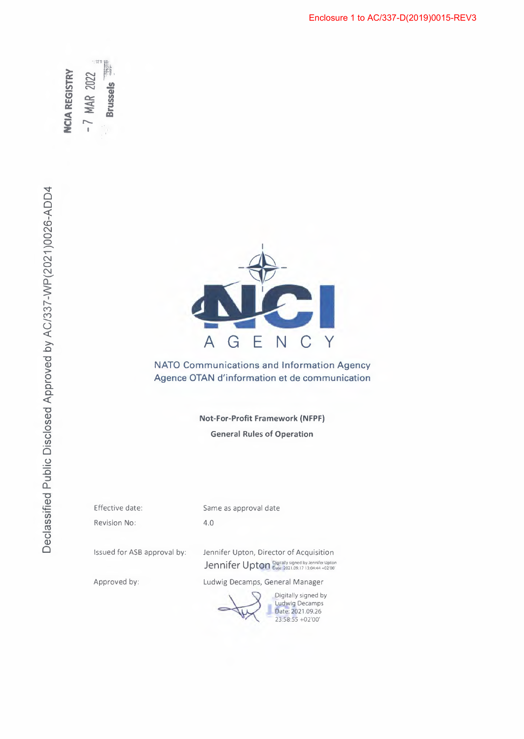**NCIA REGISTRY**  $-7$  MAR 2022 **Brussels** 



**NATO Communications and Information Agency Agence OTAN d'information et de communication** 

> **Not-For-Profit Framework (NFPF) General Rules of Operation**

Effective date: Revision No:

Same as approval date

4.0

Issued for ASB approval by: Jennifer Upton, Director of Acquisition Jennifer Upton Digitally signed by Jennifer Upton

Approved by: Ludwig Decamps, General Manager

Digitally signed by Ludwig Decamps Date: 2021.09.26 23:58:55 +02'00'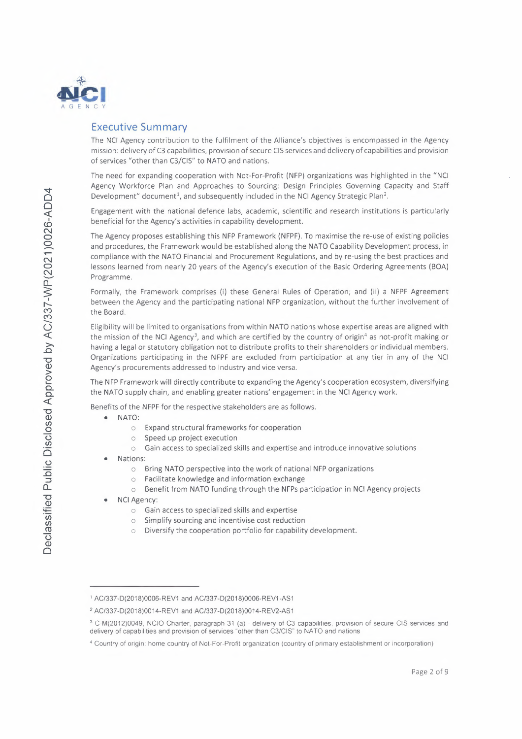

# **Executive Summary**

The NCI Agency contribution to the fulfilment of the Alliance's objectives is encompassed in the Agency mission: delivery of C3 capabilities, provision of secure CIS services and delivery of capabilities and provision of services "other than C3/CIS" to NATO and nations.

The need for expanding cooperation with Not-For-Profit (NFP) organizations was highlighted in the "NCI Agency Workforce Plan and Approaches to Sourcing: Design Principles Governing Capacity and Staff Development" document<sup>1</sup>, and subsequently included in the NCI Agency Strategic Plan<sup>2</sup>.

Engagement with the national defence labs, academic, scientific and research institutions is particularly beneficial for the Agency's activities in capability development.

The Agency proposes establishing this NFP Framework (NFPF). To maximise the re-use of existing policies and procedures, the Framework would be established along the NATO Capability Development process, in compliance with the NATO Financial and Procurement Regulations, and by re-using the best practices and lessons learned from nearly 20 years of the Agency's execution of the Basic Ordering Agreements (BOA) Programme.

Formally, the Framework comprises (i) these General Rules of Operation; and (ii) a NFPF Agreement between the Agency and the participating national NFP organization, without the further involvement of the Board.

Eligibility will be limited to organisations from within NATO nations whose expertise areas are aligned with the mission of the NCI Agency<sup>3</sup>, and which are certified by the country of origin<sup>4</sup> as not-profit making or having a legal or statutory obligation not to distribute profits to their shareholders or individual members. Organizations participating in the NFPF are excluded from participation at any tier in any of the NCI Agency's procurements addressed to Industry and vice versa.

The NFP Framework will directly contribute to expanding the Agency's cooperation ecosystem, diversifying the NATO supply chain, and enabling greater nations' engagement in the NCI Agency work.

Benefits of the NFPF for the respective stakeholders are as follows.

- NATO:  $\bullet$ 
	- Expand structural frameworks for cooperation  $\circ$
	- Speed up project execution  $\circ$
	- Gain access to specialized skills and expertise and introduce innovative solutions  $\circ$
- Nations:
	- Bring NATO perspective into the work of national NFP organizations  $\circ$
	- Facilitate knowledge and information exchange  $\circ$
	- Benefit from NATO funding through the NFPs participation in NCI Agency projects  $\bigcap$
- **NCI Agency:** 
	- o Gain access to specialized skills and expertise
	- o Simplify sourcing and incentivise cost reduction
	- Diversify the cooperation portfolio for capability development.  $\circ$

<sup>1</sup> AC/337-D(2018)0006-REV1 and AC/337-D(2018)0006-REV1-AS1

<sup>&</sup>lt;sup>2</sup> AC/337-D(2018)0014-REV1 and AC/337-D(2018)0014-REV2-AS1

<sup>&</sup>lt;sup>3</sup> C-M(2012)0049, NCIO Charter, paragraph 31 (a) - delivery of C3 capabilities, provision of secure CIS services and delivery of capabilities and provision of services "other than C3/CIS" to NATO and nations

<sup>&</sup>lt;sup>4</sup> Country of origin: home country of Not-For-Profit organization (country of primary establishment or incorporation)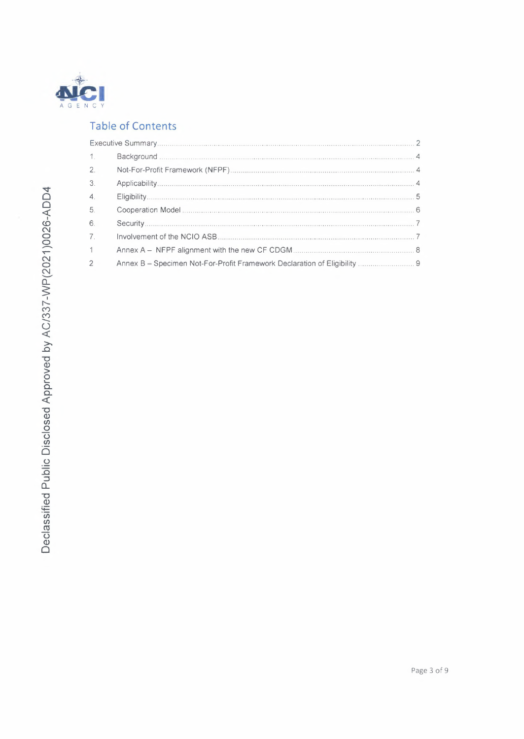

# **Table of Contents**

| 1 <sup>1</sup>   |                                                                           |  |
|------------------|---------------------------------------------------------------------------|--|
| 2.               |                                                                           |  |
| 3.               |                                                                           |  |
| $\overline{4}$ . |                                                                           |  |
| 5.               |                                                                           |  |
| 6.               |                                                                           |  |
| 7 <sup>1</sup>   |                                                                           |  |
| 1                |                                                                           |  |
| $\overline{2}$   | Annex B - Specimen Not-For-Profit Framework Declaration of Eligibility  9 |  |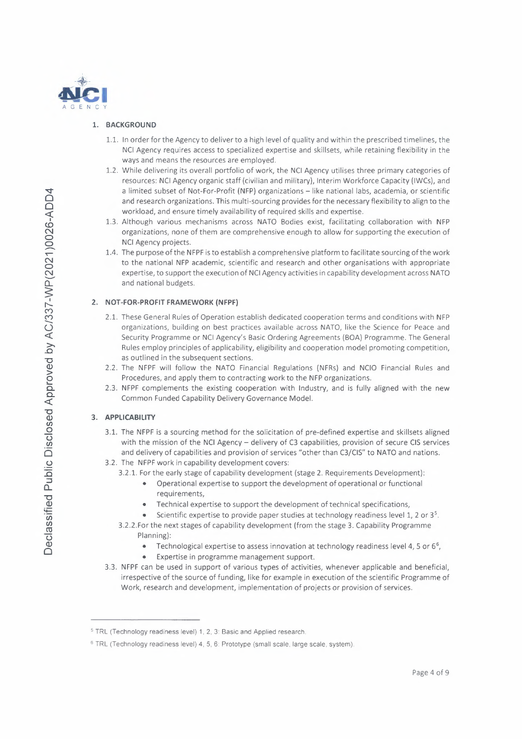

# 1. BACKGROUND

- 1.1. In order for the Agency to deliver to a high level of quality and within the prescribed timelines, the NCI Agency requires access to specialized expertise and skillsets, while retaining flexibility in the ways and means the resources are employed.
- 1.2. While delivering its overall portfolio of work, the NCI Agency utilises three primary categories of resources: NCI Agency organic staff (civilian and military), Interim Workforce Capacity (IWCs), and a limited subset of Not-For-Profit (NFP) organizations - like national labs, academia, or scientific and research organizations. This multi-sourcing provides for the necessary flexibility to align to the workload, and ensure timely availability of required skills and expertise.
- 1.3. Although various mechanisms across NATO Bodies exist, facilitating collaboration with NFP organizations, none of them are comprehensive enough to allow for supporting the execution of NCI Agency projects.
- 1.4. The purpose of the NFPF is to establish a comprehensive platform to facilitate sourcing of the work to the national NFP academic, scientific and research and other organisations with appropriate expertise, to support the execution of NCI Agency activities in capability development across NATO and national budgets.

### 2. NOT-FOR-PROFIT FRAMEWORK (NFPF)

- 2.1. These General Rules of Operation establish dedicated cooperation terms and conditions with NFP organizations, building on best practices available across NATO, like the Science for Peace and Security Programme or NCI Agency's Basic Ordering Agreements (BOA) Programme. The General Rules employ principles of applicability, eligibility and cooperation model promoting competition, as outlined in the subsequent sections.
- 2.2. The NFPF will follow the NATO Financial Regulations (NFRs) and NCIO Financial Rules and Procedures, and apply them to contracting work to the NFP organizations.
- 2.3. NFPF complements the existing cooperation with Industry, and is fully aligned with the new Common Funded Capability Delivery Governance Model.

# 3. APPLICABILITY

- 3.1. The NFPF is a sourcing method for the solicitation of pre-defined expertise and skillsets aligned with the mission of the NCI Agency - delivery of C3 capabilities, provision of secure CIS services and delivery of capabilities and provision of services "other than C3/CIS" to NATO and nations.
- 3.2. The NFPF work in capability development covers:
	- 3.2.1. For the early stage of capability development (stage 2. Requirements Development):
		- Operational expertise to support the development of operational or functional requirements,
		- Technical expertise to support the development of technical specifications,  $\bullet$
		- Scientific expertise to provide paper studies at technology readiness level 1, 2 or 3<sup>5</sup>.
	- 3.2.2. For the next stages of capability development (from the stage 3. Capability Programme Planning):
		- Technological expertise to assess innovation at technology readiness level 4, 5 or 6<sup>6</sup>,  $\bullet$
		- Expertise in programme management support.
- 3.3. NFPF can be used in support of various types of activities, whenever applicable and beneficial, irrespective of the source of funding, like for example in execution of the scientific Programme of Work, research and development, implementation of projects or provision of services.

<sup>&</sup>lt;sup>5</sup> TRL (Technology readiness level) 1, 2, 3: Basic and Applied research.

<sup>&</sup>lt;sup>6</sup> TRL (Technology readiness level) 4, 5, 6: Prototype (small scale, large scale, system).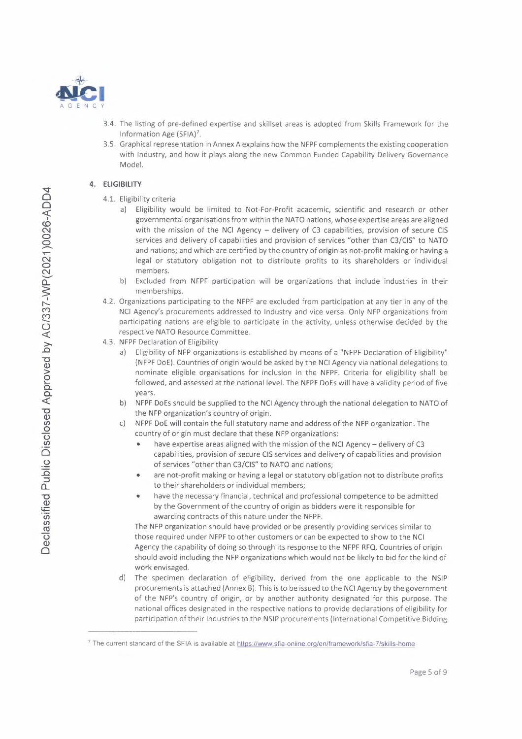

- 3.4. The listing of pre-defined expertise and skillset areas is adopted from Skills Framework for the Information Age (SFIA)<sup>7</sup>.
- 3.5. Graphical representation in Annex A explains how the NFPF complements the existing cooperation with Industry, and how it plays along the new Common Funded Capability Delivery Governance Model.

# **4. ELIGIBILITY**

- 4.1. Eligibility criteria
	- a) Eligibility would be limited to Not-For-Profit academic, scientific and research or other governmental organisations from within the NATO nations, whose expertise areas are aligned with the mission of the NCI Agency - delivery of C3 capabilities, provision of secure CIS services and delivery of capabilities and provision of services "other than C3/CIS" to NATO and nations; and which are certified by the country of origin as not-profit making or having a legal or statutory obligation not to distribute profits to its shareholders or individual members.
	- b) Excluded from NFPF participation will be organizations that include industries in their memberships.
- 4.2. Organizations participating to the NFPF are excluded from participation at any tier in any of the NCI Agency's procurements addressed to Industry and vice versa. Only NFP organizations from participating nations are eligible to participate in the activity, unless otherwise decided by the respective NATO Resource Committee.
- 4.3. NFPF Declaration of Eligibility
	- a) Eligibility of NFP organizations is established by means of a "NFPF Declaration of Eligibility" {NFPF DoE). Countries of origin would be asked by the NCI Agency via national delegations to nominate eligible organisations for inclusion in the NFPF. Criteria for eligibility shall be followed, and assessed at the national level. The NFPF DoEs will have a validity period of five years.
	- b) NFPF DoEs should be supplied to the NCI Agency through the national delegation to NATO of the NFP organization's country of origin.
	- c) NFPF DoE will contain the full statutory name and address of the NFP organization. The country of origin must declare that these NFP organizations:
		- have expertise areas aligned with the mission of the NCI Agency delivery of C3 capabilities, provision of secure CIS services and delivery of capabilities and provision of services "other than C3/CIS" to NATO and nations;
		- are not-profit making or having a legal or statutory obligation not to distribute profits to their shareholders or individual members;
		- have the necessary financial, technical and professional competence to be admitted by the Government of the country of origin as bidders were it responsible for awarding contracts of this nature under the NFPF.

The NFP organization should have provided or be presently providing services similar to those required under NFPF to other customers or can be expected to show to the NCI Agency the capability of doing so through its response to the NFPF RFQ. Countries of origin should avoid including the NFP organizations which would not be likely to bid for the kind of work envisaged.

d) The specimen declaration of eligibility, derived from the one applicable to the NSIP procurements is attached (Annex B). This is to be issued to the NCI Agency by the government of the NFP's country of origin, or by another authority designated for this purpose. The national offices designated in the respective nations to provide declarations of eligibility for participation of their Industries to the NSIP procurements (International Competitive Bidding

<sup>7</sup>The current standard of the SFIA is available at https://www.sfia-online.org/en/framework/sfia-7/skills-home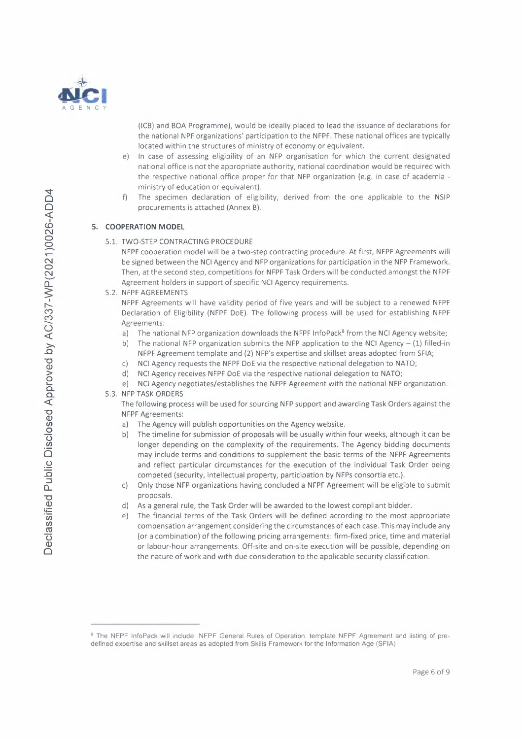

(ICB) and BOA Programme), would be ideally placed to lead the issuance of declarations for the national NPF organizations' participation to the NFPF. These national offices are typically located within the structures of ministry of economy or equivalent.

- e) ln case of assessing eligibility of an NFP organisation for which the current designated national office is not the appropriate authority, national coordination would be required with the respective national office proper for that NFP organization (e.g. in case of academia ministry of education or equivalent) .
- f) The specimen declaration of eligibility, derived from the one applicable to the NSIP procurements is attached (Annex B).

#### **S. COOPERATION MODEL**

#### 5.1. TWO-STEP CONTRACTING PROCEDURE

NFPF cooperation model will be a two-step contracting procedure. At first, NFPF Agreements will be signed between the NCI Agency and NFP organizations for participation in the NFP Framework. Then, at the second step, competitions for NFPF Task Orders will be conducted amongst the NFPF Agreement holders in support of specific NCI Agency requirements.

5.2. NFPF AGREEMENTS

NFPF Agreements will have validity period of five years and will be subject to a renewed NFPF Declaration of Eligibility (NFPF DoE). The following process will be used for establishing NFPF Agreements:

- a) The national NFP organization downloads the NFPF InfoPack<sup>8</sup> from the NCI Agency website;
- b) The national NFP organization submits the NFP application to the NCI Agency  $(1)$  filled-in NFPF Agreement template and (2) NFP's expertise and skillset areas adopted from SFIA;
- c) NCI Agency requests the NFPF DoE via the respective national delegation to NATO;
- d) NCI Agency receives NFPF DoE via the respective national delegation to NATO;
- e) NCI Agency negotiates/establishes the NFPF Agreement with the national NFP organization.
- 5.3. NFP TASK ORDERS

The following process will be used for sourcing NFP support and awarding Task Orders against the NFPF Agreements:

- a) The Agency will publish opportunities on the Agency website.
- b) The timeline for submission of proposals will be usually within four weeks, although it can be longer depending on the complexity of the requirements. The Agency bidding documents may include terms and conditions to supplement the basic terms of the NFPF Agreements and reflect particular circumstances for the execution of the individual Task Order being competed (security, intellectual property, participation by NFPs consortia etc.) .
- c) Only those NFP organizations having concluded a NFPF Agreement will be eligible to submit proposals.
- d) As a general rule, the Task Order will be awarded to the lowest compliant bidder .
- e) The financial terms of the Task Orders will be defined according to the most appropriate compensation arrangement considering the circumstances of each case. This may include any (or a combination) of the following pricing arrangements: firm-fixed price, time and material or labour-hour arrangements. Off-site and on-site execution will be possible, depending on the nature of work and with due consideration to the applicable security classification.

<sup>&</sup>lt;sup>8</sup> The NFPF InfoPack will include: NFPF General Rules of Operation, template NFPF Agreement and listing of predefined expertise and skillset areas as adopted from Skills Framework for the Information Age (SFIA)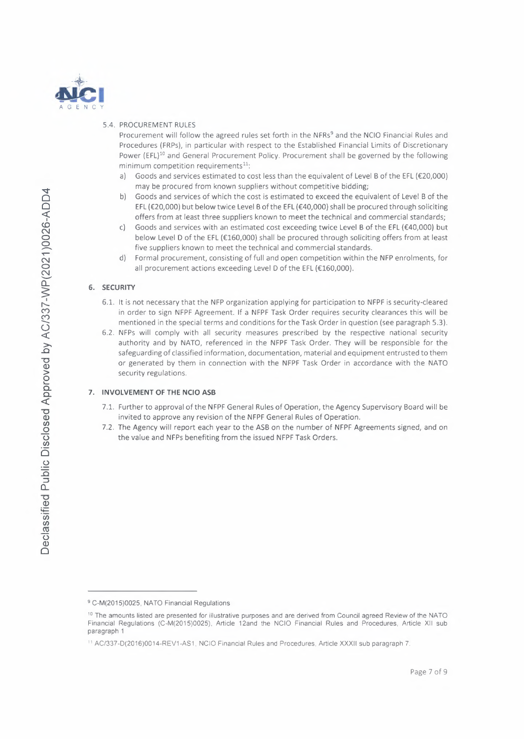

#### 5.4. PROCUREMENT RULES

Procurement will follow the agreed rules set forth in the NFRs<sup>9</sup> and the NCIO Financial Rules and Procedures (FRPs), in particular with respect to the Established Financial Limits of Discretionary Power (EFL)<sup>10</sup> and General Procurement Policy. Procurement shall be governed by the following  $minimum$  competition requirements $^{11}$ .

- Goods and services estimated to cost less than the equivalent of Level B of the EFL ( $E20,000$ ) a) may be procured from known suppliers without competitive bidding;
- b) Goods and services of which the cost is estimated to exceed the equivalent of Level B of the EFL (€20,000) but below twice Level B of the EFL (€40,000) shall be procured through soliciting offers from at least three suppliers known to meet the technical and commercial standards;
- $\mathsf{C}$ Goods and services with an estimated cost exceeding twice Level B of the EFL (€40,000) but below Level D of the EFL (€160,000) shall be procured through soliciting offers from at least five suppliers known to meet the technical and commercial standards.
- d) Formal procurement, consisting of full and open competition within the NFP enrolments, for all procurement actions exceeding Level D of the EFL (€160,000).

#### 6. SECURITY

- 6.1. It is not necessary that the NFP organization applying for participation to NFPF is security-cleared in order to sign NFPF Agreement. If a NFPF Task Order requires security clearances this will be mentioned in the special terms and conditions for the Task Order in question (see paragraph 5.3).
- 6.2. NFPs will comply with all security measures prescribed by the respective national security authority and by NATO, referenced in the NFPF Task Order. They will be responsible for the safeguarding of classified information, documentation, material and equipment entrusted to them or generated by them in connection with the NFPF Task Order in accordance with the NATO security regulations.

#### 7. INVOLVEMENT OF THE NCIO ASB

- 7.1. Further to approval of the NFPF General Rules of Operation, the Agency Supervisory Board will be invited to approve any revision of the NFPF General Rules of Operation.
- 7.2. The Agency will report each year to the ASB on the number of NFPF Agreements signed, and on the value and NFPs benefiting from the issued NFPF Task Orders.

<sup>&</sup>lt;sup>10</sup> The amounts listed are presented for illustrative purposes and are derived from Council agreed Review of the NATO Financial Regulations (C-M(2015)0025), Article 12and the NCIO Financial Rules and Procedures, Article XII sub paragraph 1

<sup>&</sup>lt;sup>11</sup> AC/337-D(2016)0014-REV1-AS1, NClO Financial Rules and Procedures, Article XXXII sub paragraph 7.